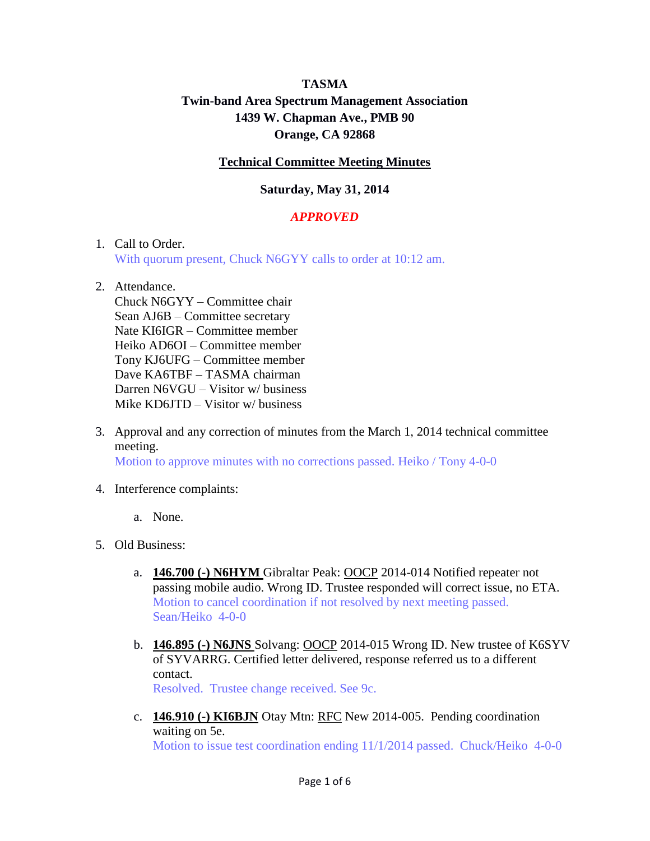# **TASMA Twin-band Area Spectrum Management Association 1439 W. Chapman Ave., PMB 90 Orange, CA 92868**

## **Technical Committee Meeting Minutes**

## **Saturday, May 31, 2014**

## *APPROVED*

#### 1. Call to Order.

With quorum present, Chuck N6GYY calls to order at 10:12 am.

#### 2. Attendance.

Chuck N6GYY – Committee chair Sean AJ6B – Committee secretary Nate KI6IGR – Committee member Heiko AD6OI – Committee member Tony KJ6UFG – Committee member Dave KA6TBF – TASMA chairman Darren N6VGU – Visitor w/ business Mike KD6JTD – Visitor w/ business

- 3. Approval and any correction of minutes from the March 1, 2014 technical committee meeting. Motion to approve minutes with no corrections passed. Heiko / Tony 4-0-0
- 4. Interference complaints:
	- a. None.
- 5. Old Business:
	- a. **146.700 (-) N6HYM** Gibraltar Peak: OOCP 2014-014 Notified repeater not passing mobile audio. Wrong ID. Trustee responded will correct issue, no ETA. Motion to cancel coordination if not resolved by next meeting passed. Sean/Heiko 4-0-0
	- b. **146.895 (-) N6JNS** Solvang: OOCP 2014-015 Wrong ID. New trustee of K6SYV of SYVARRG. Certified letter delivered, response referred us to a different contact.

Resolved. Trustee change received. See 9c.

c. **146.910 (-) KI6BJN** Otay Mtn: RFC New 2014-005. Pending coordination waiting on 5e. Motion to issue test coordination ending 11/1/2014 passed. Chuck/Heiko 4-0-0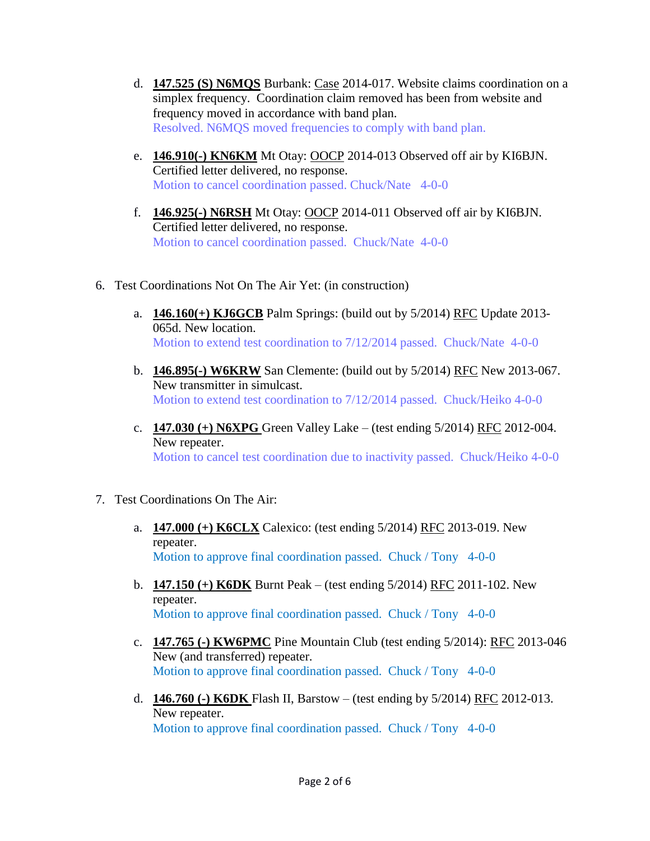- d. **147.525 (S) N6MQS** Burbank: Case 2014-017. Website claims coordination on a simplex frequency. Coordination claim removed has been from website and frequency moved in accordance with band plan. Resolved. N6MQS moved frequencies to comply with band plan.
- e. **146.910(-) KN6KM** Mt Otay: OOCP 2014-013 Observed off air by KI6BJN. Certified letter delivered, no response. Motion to cancel coordination passed. Chuck/Nate 4-0-0
- f. **146.925(-) N6RSH** Mt Otay: OOCP 2014-011 Observed off air by KI6BJN. Certified letter delivered, no response. Motion to cancel coordination passed. Chuck/Nate 4-0-0
- 6. Test Coordinations Not On The Air Yet: (in construction)
	- a. **146.160(+) KJ6GCB** Palm Springs: (build out by 5/2014) RFC Update 2013- 065d. New location. Motion to extend test coordination to 7/12/2014 passed. Chuck/Nate 4-0-0
	- b. **146.895(-) W6KRW** San Clemente: (build out by 5/2014) RFC New 2013-067. New transmitter in simulcast. Motion to extend test coordination to 7/12/2014 passed. Chuck/Heiko 4-0-0
	- c. **147.030 (+) N6XPG** Green Valley Lake (test ending 5/2014) RFC 2012-004. New repeater. Motion to cancel test coordination due to inactivity passed. Chuck/Heiko 4-0-0
- 7. Test Coordinations On The Air:
	- a. **147.000 (+) K6CLX** Calexico: (test ending 5/2014) RFC 2013-019. New repeater. Motion to approve final coordination passed. Chuck / Tony 4-0-0
	- b. **147.150 (+) K6DK** Burnt Peak (test ending 5/2014) RFC 2011-102. New repeater. Motion to approve final coordination passed. Chuck / Tony 4-0-0
	- c. **147.765 (-) KW6PMC** Pine Mountain Club (test ending 5/2014): RFC 2013-046 New (and transferred) repeater. Motion to approve final coordination passed. Chuck / Tony 4-0-0
	- d. **146.760 (-) K6DK** Flash II, Barstow (test ending by 5/2014) RFC 2012-013. New repeater. Motion to approve final coordination passed. Chuck / Tony 4-0-0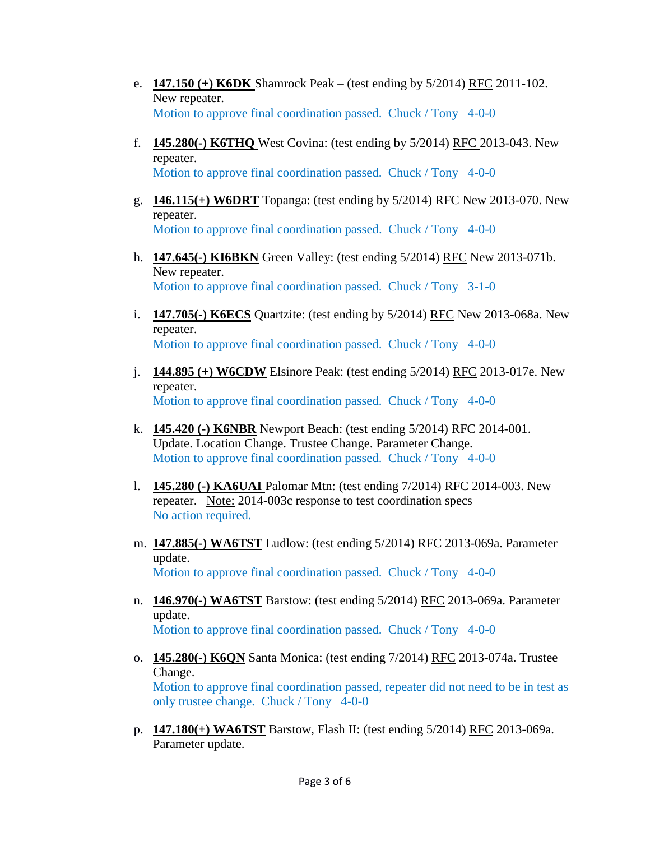- e. **147.150 (+) K6DK** Shamrock Peak (test ending by 5/2014) RFC 2011-102. New repeater. Motion to approve final coordination passed. Chuck / Tony 4-0-0
- f. **145.280(-) K6THQ** West Covina: (test ending by 5/2014) RFC 2013-043. New repeater. Motion to approve final coordination passed. Chuck / Tony 4-0-0
- g. **146.115(+) W6DRT** Topanga: (test ending by 5/2014) RFC New 2013-070. New repeater. Motion to approve final coordination passed. Chuck / Tony 4-0-0
- h. **147.645(-) KI6BKN** Green Valley: (test ending 5/2014) RFC New 2013-071b. New repeater. Motion to approve final coordination passed. Chuck / Tony 3-1-0
- i. **147.705(-) K6ECS** Quartzite: (test ending by 5/2014) RFC New 2013-068a. New repeater. Motion to approve final coordination passed. Chuck / Tony 4-0-0
- j. **144.895 (+) W6CDW** Elsinore Peak: (test ending 5/2014) RFC 2013-017e. New repeater. Motion to approve final coordination passed. Chuck / Tony 4-0-0
- k. **145.420 (-) K6NBR** Newport Beach: (test ending 5/2014) RFC 2014-001. Update. Location Change. Trustee Change. Parameter Change. Motion to approve final coordination passed. Chuck / Tony 4-0-0
- l. **145.280 (-) KA6UAI** Palomar Mtn: (test ending 7/2014) RFC 2014-003. New repeater. Note: 2014-003c response to test coordination specs No action required.
- m. **147.885(-) WA6TST** Ludlow: (test ending 5/2014) RFC 2013-069a. Parameter update. Motion to approve final coordination passed. Chuck / Tony 4-0-0
- n. **146.970(-) WA6TST** Barstow: (test ending 5/2014) RFC 2013-069a. Parameter update. Motion to approve final coordination passed. Chuck / Tony 4-0-0
- o. **145.280(-) K6QN** Santa Monica: (test ending 7/2014) RFC 2013-074a. Trustee Change. Motion to approve final coordination passed, repeater did not need to be in test as only trustee change. Chuck / Tony 4-0-0
- p. **147.180(+) WA6TST** Barstow, Flash II: (test ending 5/2014) RFC 2013-069a. Parameter update.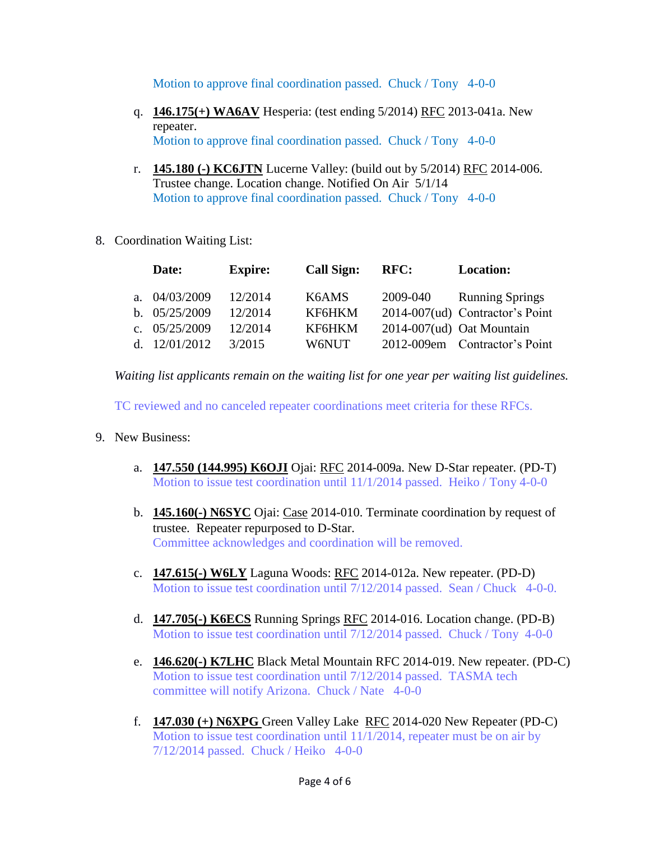Motion to approve final coordination passed. Chuck / Tony 4-0-0

- q. **146.175(+) WA6AV** Hesperia: (test ending 5/2014) RFC 2013-041a. New repeater. Motion to approve final coordination passed. Chuck / Tony 4-0-0
- r. **145.180 (-) KC6JTN** Lucerne Valley: (build out by 5/2014) RFC 2014-006. Trustee change. Location change. Notified On Air 5/1/14 Motion to approve final coordination passed. Chuck / Tony 4-0-0
- 8. Coordination Waiting List:

|  | Date:           | <b>Expire:</b> | Call Sign: | RFC:     | <b>Location:</b>                |
|--|-----------------|----------------|------------|----------|---------------------------------|
|  | a. $04/03/2009$ | 12/2014        | K6AMS      | 2009-040 | <b>Running Springs</b>          |
|  | b. $05/25/2009$ | 12/2014        | KF6HKM     |          | 2014-007(ud) Contractor's Point |
|  | c. $05/25/2009$ | 12/2014        | KF6HKM     |          | 2014-007(ud) Oat Mountain       |
|  | d. $12/01/2012$ | 3/2015         | W6NUT      |          | 2012-009em Contractor's Point   |

*Waiting list applicants remain on the waiting list for one year per waiting list guidelines.*

TC reviewed and no canceled repeater coordinations meet criteria for these RFCs.

- 9. New Business:
	- a. **147.550 (144.995) K6OJI** Ojai: RFC 2014-009a. New D-Star repeater. (PD-T) Motion to issue test coordination until 11/1/2014 passed. Heiko / Tony 4-0-0
	- b. **145.160(-) N6SYC** Ojai: Case 2014-010. Terminate coordination by request of trustee. Repeater repurposed to D-Star. Committee acknowledges and coordination will be removed.
	- c. **147.615(-) W6LY** Laguna Woods: RFC 2014-012a. New repeater. (PD-D) Motion to issue test coordination until 7/12/2014 passed. Sean / Chuck 4-0-0.
	- d. **147.705(-) K6ECS** Running Springs RFC 2014-016. Location change. (PD-B) Motion to issue test coordination until 7/12/2014 passed. Chuck / Tony 4-0-0
	- e. **146.620(-) K7LHC** Black Metal Mountain RFC 2014-019. New repeater. (PD-C) Motion to issue test coordination until 7/12/2014 passed. TASMA tech committee will notify Arizona. Chuck / Nate 4-0-0
	- f. **147.030 (+) N6XPG** Green Valley Lake RFC 2014-020 New Repeater (PD-C) Motion to issue test coordination until 11/1/2014, repeater must be on air by 7/12/2014 passed. Chuck / Heiko 4-0-0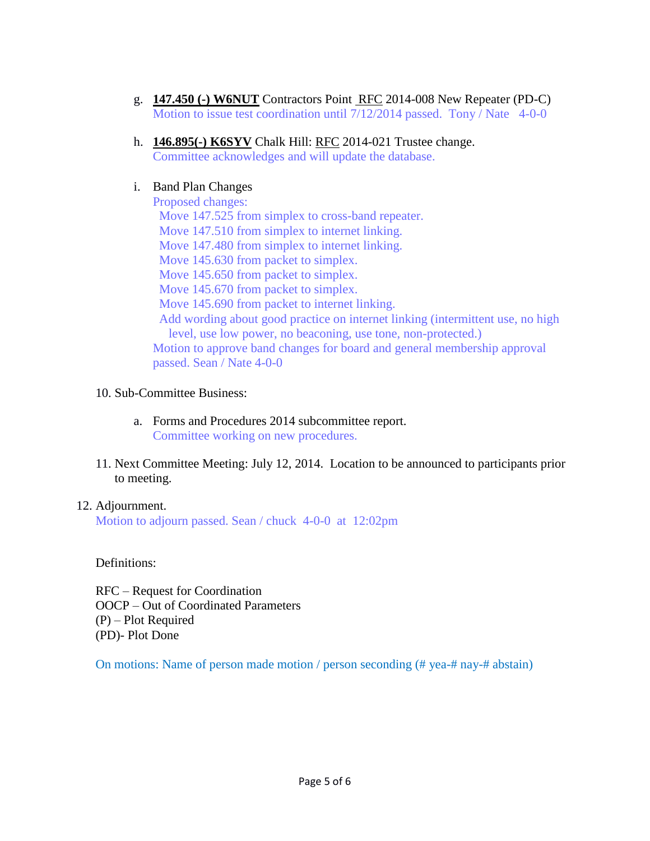- g. **147.450 (-) W6NUT** Contractors Point RFC 2014-008 New Repeater (PD-C) Motion to issue test coordination until 7/12/2014 passed. Tony / Nate 4-0-0
- h. **146.895(-) K6SYV** Chalk Hill: RFC 2014-021 Trustee change. Committee acknowledges and will update the database.

## i. Band Plan Changes

Proposed changes: Move 147.525 from simplex to cross-band repeater. Move 147.510 from simplex to internet linking. Move 147.480 from simplex to internet linking. Move 145.630 from packet to simplex. Move 145.650 from packet to simplex. Move 145.670 from packet to simplex. Move 145.690 from packet to internet linking. Add wording about good practice on internet linking (intermittent use, no high level, use low power, no beaconing, use tone, non-protected.) Motion to approve band changes for board and general membership approval passed. Sean / Nate 4-0-0

## 10. Sub-Committee Business:

- a. Forms and Procedures 2014 subcommittee report. Committee working on new procedures.
- 11. Next Committee Meeting: July 12, 2014. Location to be announced to participants prior to meeting.

## 12. Adjournment.

Motion to adjourn passed. Sean / chuck 4-0-0 at 12:02pm

Definitions:

RFC – Request for Coordination OOCP – Out of Coordinated Parameters (P) – Plot Required (PD)- Plot Done

On motions: Name of person made motion / person seconding (# yea-# nay-# abstain)